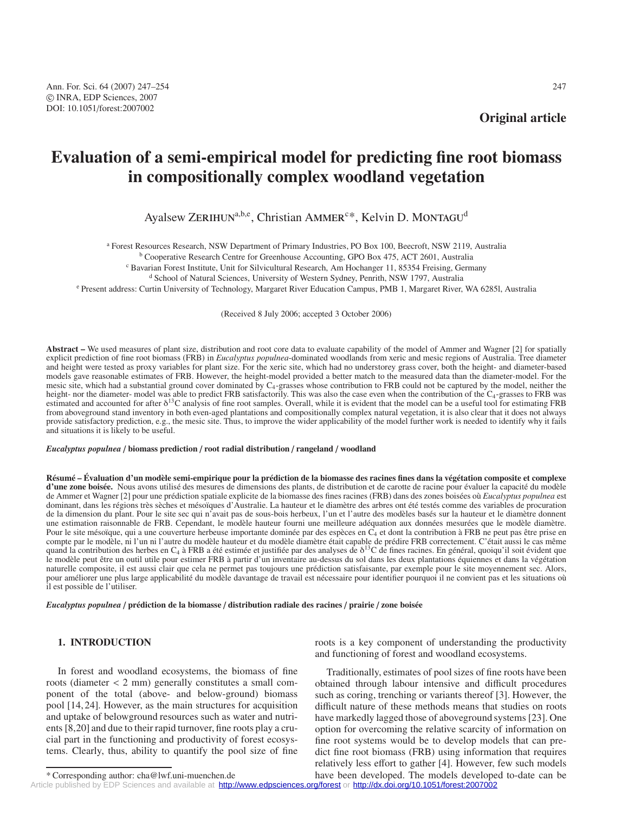# **Evaluation of a semi-empirical model for predicting fine root biomass in compositionally complex woodland vegetation**

# Ayalsew ZERIHUN<sup>a,b,e</sup>, Christian AMMER<sup>c\*</sup>, Kelvin D. MONTAGU<sup>d</sup>

<sup>a</sup> Forest Resources Research, NSW Department of Primary Industries, PO Box 100, Beecroft, NSW 2119, Australia

<sup>b</sup> Cooperative Research Centre for Greenhouse Accounting, GPO Box 475, ACT 2601, Australia

<sup>c</sup> Bavarian Forest Institute, Unit for Silvicultural Research, Am Hochanger 11, 85354 Freising, Germany

<sup>d</sup> School of Natural Sciences, University of Western Sydney, Penrith, NSW 1797, Australia

<sup>e</sup> Present address: Curtin University of Technology, Margaret River Education Campus, PMB 1, Margaret River, WA 6285l, Australia

(Received 8 July 2006; accepted 3 October 2006)

**Abstract –** We used measures of plant size, distribution and root core data to evaluate capability of the model of Ammer and Wagner [2] for spatially explicit prediction of fine root biomass (FRB) in *Eucalyptus populnea*-dominated woodlands from xeric and mesic regions of Australia. Tree diameter and height were tested as proxy variables for plant size. For the xeric site, which had no understorey grass cover, both the height- and diameter-based models gave reasonable estimates of FRB. However, the height-model provided a better match to the measured data than the diameter-model. For the mesic site, which had a substantial ground cover dominated by  $C_4$ -grasses whose contribution to FRB could not be captured by the model, neither the height- nor the diameter- model was able to predict FRB satisfactorily. This was also the case even when the contribution of the C<sub>4</sub>-grasses to FRB was estimated and accounted for after  $\delta^{13}C$  analysis of fine root samples. Overall, while it is evident that the model can be a useful tool for estimating FRB from aboveground stand inventory in both even-aged plantations and compositionally complex natural vegetation, it is also clear that it does not always provide satisfactory prediction, e.g., the mesic site. Thus, to improve the wider applicability of the model further work is needed to identify why it fails and situations it is likely to be useful.

### *Eucalyptus populnea* / **biomass prediction** / **root radial distribution** / **rangeland** / **woodland**

**Résumé – Évaluation d'un modèle semi-empirique pour la prédiction de la biomasse des racines fines dans la végétation composite et complexe d'une zone boisée.** Nous avons utilisé des mesures de dimensions des plants, de distribution et de carotte de racine pour évaluer la capacité du modèle de Ammer et Wagner [2] pour une prédiction spatiale explicite de la biomasse des fines racines (FRB) dans des zones boisées où *Eucalyptus populnea* est dominant, dans les régions très sèches et mésoïques d'Australie. La hauteur et le diamètre des arbres ont été testés comme des variables de procuration de la dimension du plant. Pour le site sec qui n'avait pas de sous-bois herbeux, l'un et l'autre des modèles basés sur la hauteur et le diamètre donnent une estimation raisonnable de FRB. Cependant, le modèle hauteur fourni une meilleure adéquation aux données mesurées que le modèle diamètre. Pour le site mésoïque, qui a une couverture herbeuse importante dominée par des espèces en  $C_4$  et dont la contribution à FRB ne peut pas être prise en compte par le modèle, ni l'un ni l'autre du modèle hauteur et du modèle diamètre était capable de prédire FRB correctement. C'était aussi le cas même<br>quand la contribution des herbes en C<sub>4</sub> à FRB a été estimée et justifi le modèle peut être un outil utile pour estimer FRB à partir d'un inventaire au-dessus du sol dans les deux plantations équiennes et dans la végétation naturelle composite, il est aussi clair que cela ne permet pas toujours une prédiction satisfaisante, par exemple pour le site moyennement sec. Alors, pour améliorer une plus large applicabilité du modèle davantage de travail est nécessaire pour identifier pourquoi il ne convient pas et les situations où il est possible de l'utiliser.

*Eucalyptus populnea* / **prédiction de la biomasse** / **distribution radiale des racines** / **prairie** / **zone boisée**

## **1. INTRODUCTION**

In forest and woodland ecosystems, the biomass of fine roots (diameter < 2 mm) generally constitutes a small component of the total (above- and below-ground) biomass pool [14, 24]. However, as the main structures for acquisition and uptake of belowground resources such as water and nutrients [8,20] and due to their rapid turnover, fine roots play a crucial part in the functioning and productivity of forest ecosystems. Clearly, thus, ability to quantify the pool size of fine roots is a key component of understanding the productivity and functioning of forest and woodland ecosystems.

Traditionally, estimates of pool sizes of fine roots have been obtained through labour intensive and difficult procedures such as coring, trenching or variants thereof [3]. However, the difficult nature of these methods means that studies on roots have markedly lagged those of aboveground systems [23]. One option for overcoming the relative scarcity of information on fine root systems would be to develop models that can predict fine root biomass (FRB) using information that requires relatively less effort to gather [4]. However, few such models have been developed. The models developed to-date can be

<sup>\*</sup> Corresponding author: cha@lwf.uni-muenchen.de

[Article published by EDP Sciences and available at http://www.edpsciences.org/forest](http://www.edpsciences.org/forest) or <http://dx.doi.org/10.1051/forest:2007002>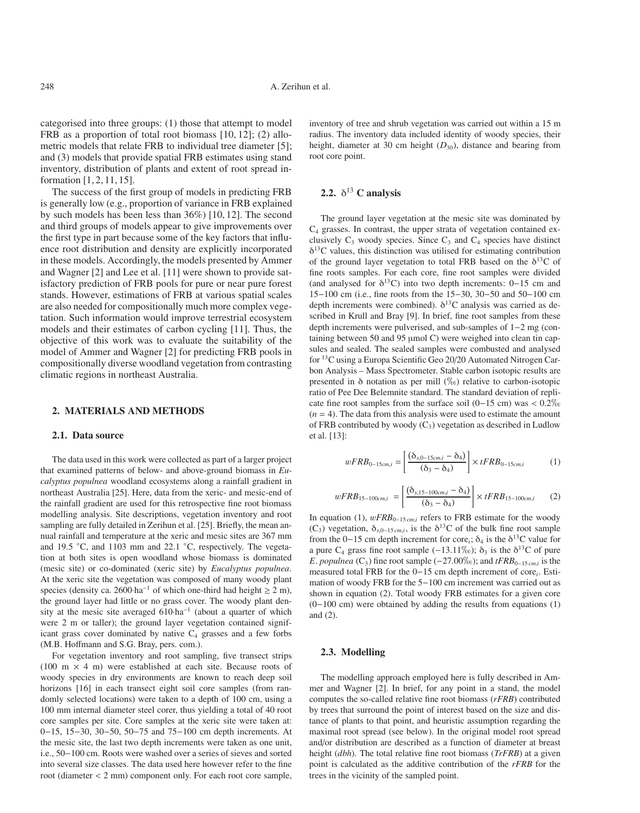categorised into three groups: (1) those that attempt to model FRB as a proportion of total root biomass [10, 12]; (2) allometric models that relate FRB to individual tree diameter [5]; and (3) models that provide spatial FRB estimates using stand inventory, distribution of plants and extent of root spread information [1, 2, 11, 15].

The success of the first group of models in predicting FRB is generally low (e.g., proportion of variance in FRB explained by such models has been less than 36%) [10, 12]. The second and third groups of models appear to give improvements over the first type in part because some of the key factors that influence root distribution and density are explicitly incorporated in these models. Accordingly, the models presented by Ammer and Wagner [2] and Lee et al. [11] were shown to provide satisfactory prediction of FRB pools for pure or near pure forest stands. However, estimations of FRB at various spatial scales are also needed for compositionally much more complex vegetation. Such information would improve terrestrial ecosystem models and their estimates of carbon cycling [11]. Thus, the objective of this work was to evaluate the suitability of the model of Ammer and Wagner [2] for predicting FRB pools in compositionally diverse woodland vegetation from contrasting climatic regions in northeast Australia.

## **2. MATERIALS AND METHODS**

#### **2.1. Data source**

The data used in this work were collected as part of a larger project that examined patterns of below- and above-ground biomass in *Eucalyptus populnea* woodland ecosystems along a rainfall gradient in northeast Australia [25]. Here, data from the xeric- and mesic-end of the rainfall gradient are used for this retrospective fine root biomass modelling analysis. Site descriptions, vegetation inventory and root sampling are fully detailed in Zerihun et al. [25]. Briefly, the mean annual rainfall and temperature at the xeric and mesic sites are 367 mm and 19.5 ◦C, and 1103 mm and 22.1 ◦C, respectively. The vegetation at both sites is open woodland whose biomass is dominated (mesic site) or co-dominated (xeric site) by *Eucalyptus populnea*. At the xeric site the vegetation was composed of many woody plant species (density ca. 2600·ha<sup>-1</sup> of which one-third had height  $\geq 2$  m), the ground layer had little or no grass cover. The woody plant density at the mesic site averaged  $610·ha^{-1}$  (about a quarter of which were 2 m or taller); the ground layer vegetation contained significant grass cover dominated by native  $C_4$  grasses and a few forbs (M.B. Hoffmann and S.G. Bray, pers. com.).

For vegetation inventory and root sampling, five transect strips (100 m  $\times$  4 m) were established at each site. Because roots of woody species in dry environments are known to reach deep soil horizons [16] in each transect eight soil core samples (from randomly selected locations) were taken to a depth of 100 cm, using a 100 mm internal diameter steel corer, thus yielding a total of 40 root core samples per site. Core samples at the xeric site were taken at: 0−15, 15−30, 30−50, 50−75 and 75−100 cm depth increments. At the mesic site, the last two depth increments were taken as one unit, i.e., 50−100 cm. Roots were washed over a series of sieves and sorted into several size classes. The data used here however refer to the fine root (diameter < 2 mm) component only. For each root core sample, inventory of tree and shrub vegetation was carried out within a 15 m radius. The inventory data included identity of woody species, their height, diameter at 30 cm height ( $D_{30}$ ), distance and bearing from root core point.

## **2.2.**  $\delta^{13}$  **C** analysis

The ground layer vegetation at the mesic site was dominated by C4 grasses. In contrast, the upper strata of vegetation contained exclusively  $C_3$  woody species. Since  $C_3$  and  $C_4$  species have distinct  $\delta^{13}$ C values, this distinction was utilised for estimating contribution of the ground layer vegetation to total FRB based on the  $\delta^{13}C$  of fine roots samples. For each core, fine root samples were divided (and analysed for  $\delta^{13}$ C) into two depth increments: 0–15 cm and 15−100 cm (i.e., fine roots from the 15−30, 30−50 and 50−100 cm depth increments were combined).  $\delta^{13}$ C analysis was carried as described in Krull and Bray [9]. In brief, fine root samples from these depth increments were pulverised, and sub-samples of 1−2 mg (containing between 50 and 95 µmol C) were weighed into clean tin capsules and sealed. The sealed samples were combusted and analysed for 13C using a Europa Scientific Geo 20/20 Automated Nitrogen Carbon Analysis – Mass Spectrometer. Stable carbon isotopic results are presented in  $\delta$  notation as per mill ( $\%$ ) relative to carbon-isotopic ratio of Pee Dee Belemnite standard. The standard deviation of replicate fine root samples from the surface soil (0−15 cm) was  $< 0.2\%$  $(n = 4)$ . The data from this analysis were used to estimate the amount of FRB contributed by woody  $(C_3)$  vegetation as described in Ludlow et al. [13]:

$$
wFRB_{0-15cm,i} = \left[ \frac{(\delta_{s,0-15cm,i} - \delta_4)}{(\delta_3 - \delta_4)} \right] \times tFRB_{0-15cm,i}
$$
 (1)

$$
wFRB_{15-100cm,i} = \left[\frac{(\delta_{s,15-100cm,i} - \delta_4)}{(\delta_3 - \delta_4)}\right] \times tFRB_{15-100cm,i}
$$
 (2)

In equation (1), wFRB<sub>0−15 *cm*,*i* refers to FRB estimate for the woody</sub> (C<sub>3</sub>) vegetation,  $\delta_{s,0-15 \, \text{cm},i}$ , is the  $\delta^{13}$ C of the bulk fine root sample from the 0−15 cm depth increment for core<sub>*i*</sub>;  $\delta_4$  is the  $\delta^{13}$ C value for a pure C<sub>4</sub> grass fine root sample (−13.11\%);  $\delta_3$  is the  $\delta^{13}$ C of pure *E*. *populnea* (C<sub>3</sub>) fine root sample (−27.00\%); and  $tFRB_{0-15 \, cm,i}$  is the measured total FRB for the 0−15 cm depth increment of core*i*. Estimation of woody FRB for the 5−100 cm increment was carried out as shown in equation (2). Total woody FRB estimates for a given core (0−100 cm) were obtained by adding the results from equations (1) and (2).

### **2.3. Modelling**

The modelling approach employed here is fully described in Ammer and Wagner [2]. In brief, for any point in a stand, the model computes the so-called relative fine root biomass (*rFRB*) contributed by trees that surround the point of interest based on the size and distance of plants to that point, and heuristic assumption regarding the maximal root spread (see below). In the original model root spread and/or distribution are described as a function of diameter at breast height (*dbh*). The total relative fine root biomass (*TrFRB*) at a given point is calculated as the additive contribution of the *rFRB* for the trees in the vicinity of the sampled point.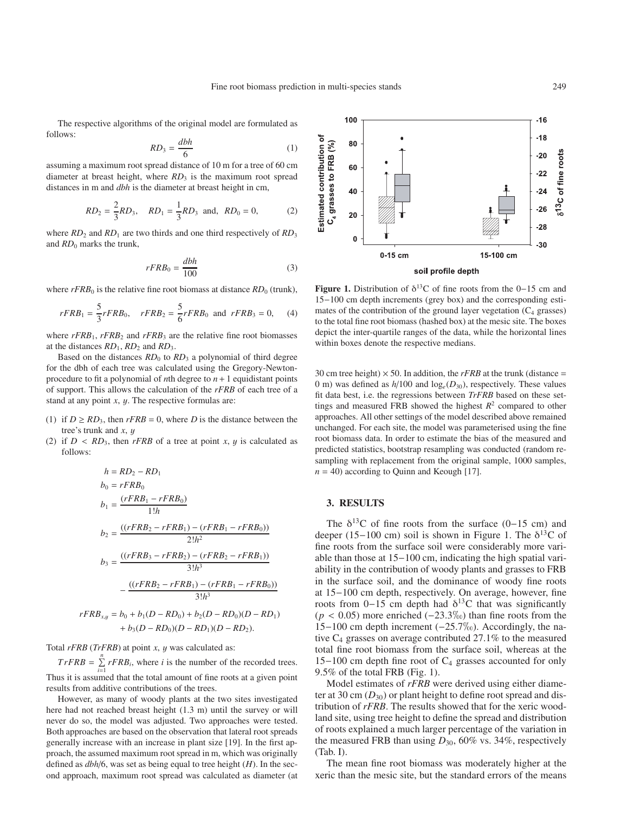The respective algorithms of the original model are formulated as follows:

$$
RD_3 = \frac{dbh}{6} \tag{1}
$$

assuming a maximum root spread distance of 10 m for a tree of 60 cm diameter at breast height, where  $RD<sub>3</sub>$  is the maximum root spread distances in m and *dbh* is the diameter at breast height in cm,

$$
RD_2 = \frac{2}{3}RD_3
$$
,  $RD_1 = \frac{1}{3}RD_3$  and,  $RD_0 = 0$ , (2)

where  $RD_2$  and  $RD_1$  are two thirds and one third respectively of  $RD_3$ and *RD*<sub>0</sub> marks the trunk,

$$
rFRB_0 = \frac{dbh}{100} \tag{3}
$$

where  $rFRB_0$  is the relative fine root biomass at distance  $RD_0$  (trunk),

$$
rFRB_1 = \frac{5}{3}rFRB_0, \quad rFRB_2 = \frac{5}{6}rFRB_0 \text{ and } rFRB_3 = 0,
$$
 (4)

where  $rFRB_1$ ,  $rFRB_2$  and  $rFRB_3$  are the relative fine root biomasses at the distances *RD*1, *RD*<sup>2</sup> and *RD*3.

Based on the distances *RD*<sub>0</sub> to *RD*<sub>3</sub> a polynomial of third degree for the dbh of each tree was calculated using the Gregory-Newtonprocedure to fit a polynomial of *n*th degree to  $n + 1$  equidistant points of support. This allows the calculation of the *rFRB* of each tree of a stand at any point *x*, y. The respective formulas are:

- (1) if  $D \geq RD_3$ , then  $rFRB = 0$ , where *D* is the distance between the tree's trunk and *x*, y
- (2) if  $D < RD_3$ , then *rFRB* of a tree at point *x*, *y* is calculated as follows:

$$
h = RD_2 - RD_1
$$
  
\n
$$
b_0 = rFRB_0
$$
  
\n
$$
b_1 = \frac{(rFRB_1 - rFRB_0)}{1!h}
$$
  
\n
$$
b_2 = \frac{((rFRB_2 - rFRB_1) - (rFRB_1 - rFRB_0))}{2!h^2}
$$
  
\n
$$
b_3 = \frac{((rFRB_3 - rFRB_2) - (rFRB_2 - rFRB_1))}{3!h^3}
$$
  
\n
$$
- \frac{((rFRB_2 - rFRB_1) - (rFRB_1 - rFRB_0))}{3!h^3}
$$
  
\n
$$
rFRB_{x,y} = b_0 + b_1(D - RD_0) + b_2(D - RD_0)(D - RD_1)
$$

$$
+ b_3(D - RD_0)(D - RD_1)(D - RD_2).
$$

Total *rFRB* (*TrFRB*) at point *x*, y was calculated as:

 $TrFRB = \sum_{i=1}^{n} rFRB_i$ , where *i* is the number of the recorded trees. Thus it is assumed that the total amount of fine roots at a given point results from additive contributions of the trees.

However, as many of woody plants at the two sites investigated here had not reached breast height (1.3 m) until the survey or will never do so, the model was adjusted. Two approaches were tested. Both approaches are based on the observation that lateral root spreads generally increase with an increase in plant size [19]. In the first approach, the assumed maximum root spread in m, which was originally defined as *dbh*/6, was set as being equal to tree height (*H*). In the second approach, maximum root spread was calculated as diameter (at



**Figure 1.** Distribution of  $\delta^{13}$ C of fine roots from the 0–15 cm and 15−100 cm depth increments (grey box) and the corresponding estimates of the contribution of the ground layer vegetation  $(C_4$  grasses) to the total fine root biomass (hashed box) at the mesic site. The boxes depict the inter-quartile ranges of the data, while the horizontal lines within boxes denote the respective medians.

30 cm tree height)  $\times$  50. In addition, the *rFRB* at the trunk (distance = 0 m) was defined as  $h/100$  and  $\log_e(D_{30})$ , respectively. These values fit data best, i.e. the regressions between *TrFRB* based on these settings and measured FRB showed the highest  $R^2$  compared to other approaches. All other settings of the model described above remained unchanged. For each site, the model was parameterised using the fine root biomass data. In order to estimate the bias of the measured and predicted statistics, bootstrap resampling was conducted (random resampling with replacement from the original sample, 1000 samples,  $n = 40$ ) according to Quinn and Keough [17].

## **3. RESULTS**

The  $\delta^{13}$ C of fine roots from the surface (0–15 cm) and deeper (15−100 cm) soil is shown in Figure 1. The  $\delta^{13}C$  of fine roots from the surface soil were considerably more variable than those at 15−100 cm, indicating the high spatial variability in the contribution of woody plants and grasses to FRB in the surface soil, and the dominance of woody fine roots at 15−100 cm depth, respectively. On average, however, fine roots from 0−15 cm depth had  $\delta^{13}$ C that was significantly  $(p < 0.05)$  more enriched  $(-23.3\%)$  than fine roots from the <sup>15</sup>−100 cm depth increment (−25.7). Accordingly, the native  $C_4$  grasses on average contributed 27.1% to the measured total fine root biomass from the surface soil, whereas at the 15−100 cm depth fine root of  $C_4$  grasses accounted for only 9.5% of the total FRB (Fig. 1).

Model estimates of *rFRB* were derived using either diameter at 30 cm  $(D_{30})$  or plant height to define root spread and distribution of *rFRB*. The results showed that for the xeric woodland site, using tree height to define the spread and distribution of roots explained a much larger percentage of the variation in the measured FRB than using  $D_{30}$ , 60% vs. 34%, respectively (Tab. I).

The mean fine root biomass was moderately higher at the xeric than the mesic site, but the standard errors of the means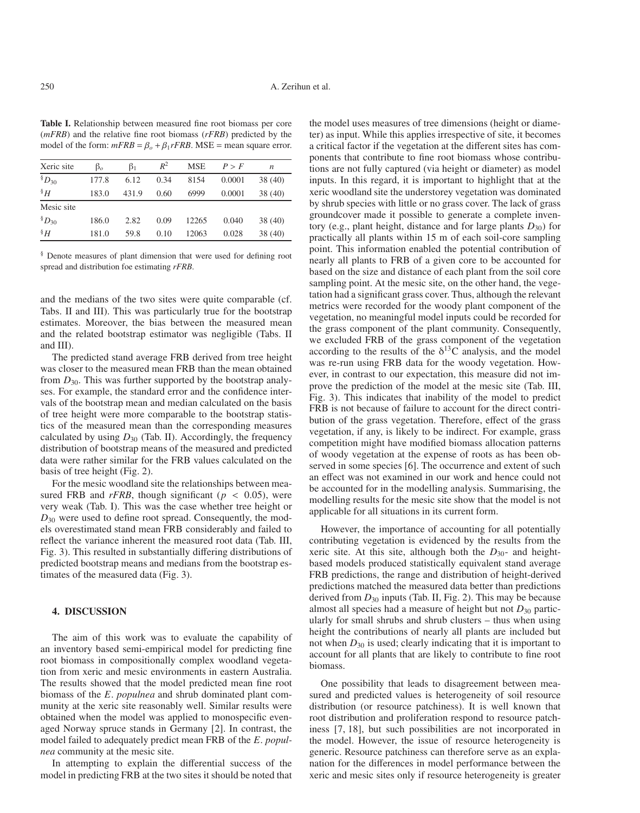**Table I.** Relationship between measured fine root biomass per core (*mFRB*) and the relative fine root biomass (*rFRB*) predicted by the model of the form:  $mFRB = \beta_o + \beta_1 rFRB$ . MSE = mean square error.

| Xeric site      | $\beta_o$ | $\beta_1$ | $R^2$ | <b>MSE</b> | P > F  | n      |
|-----------------|-----------|-----------|-------|------------|--------|--------|
| ${}^8D_{30}$    | 177.8     | 6.12      | 0.34  | 8154       | 0.0001 | 38(40) |
| $\frac{8}{3}H$  | 183.0     | 431.9     | 0.60  | 6999       | 0.0001 | 38(40) |
| Mesic site      |           |           |       |            |        |        |
| ${}^8D_{30}$    | 186.0     | 2.82      | 0.09  | 12265      | 0.040  | 38(40) |
| $\mathcal{S}$ H | 181.0     | 59.8      | 0.10  | 12063      | 0.028  | 38(40) |

§ Denote measures of plant dimension that were used for defining root spread and distribution foe estimating *rFRB*.

and the medians of the two sites were quite comparable (cf. Tabs. II and III). This was particularly true for the bootstrap estimates. Moreover, the bias between the measured mean and the related bootstrap estimator was negligible (Tabs. II and III).

The predicted stand average FRB derived from tree height was closer to the measured mean FRB than the mean obtained from  $D_{30}$ . This was further supported by the bootstrap analyses. For example, the standard error and the confidence intervals of the bootstrap mean and median calculated on the basis of tree height were more comparable to the bootstrap statistics of the measured mean than the corresponding measures calculated by using  $D_{30}$  (Tab. II). Accordingly, the frequency distribution of bootstrap means of the measured and predicted data were rather similar for the FRB values calculated on the basis of tree height (Fig. 2).

For the mesic woodland site the relationships between measured FRB and *rFRB*, though significant ( $p < 0.05$ ), were very weak (Tab. I). This was the case whether tree height or  $D_{30}$  were used to define root spread. Consequently, the models overestimated stand mean FRB considerably and failed to reflect the variance inherent the measured root data (Tab. III, Fig. 3). This resulted in substantially differing distributions of predicted bootstrap means and medians from the bootstrap estimates of the measured data (Fig. 3).

### **4. DISCUSSION**

The aim of this work was to evaluate the capability of an inventory based semi-empirical model for predicting fine root biomass in compositionally complex woodland vegetation from xeric and mesic environments in eastern Australia. The results showed that the model predicted mean fine root biomass of the *E*. *populnea* and shrub dominated plant community at the xeric site reasonably well. Similar results were obtained when the model was applied to monospecific evenaged Norway spruce stands in Germany [2]. In contrast, the model failed to adequately predict mean FRB of the *E*. *populnea* community at the mesic site.

In attempting to explain the differential success of the model in predicting FRB at the two sites it should be noted that the model uses measures of tree dimensions (height or diameter) as input. While this applies irrespective of site, it becomes a critical factor if the vegetation at the different sites has components that contribute to fine root biomass whose contributions are not fully captured (via height or diameter) as model inputs. In this regard, it is important to highlight that at the xeric woodland site the understorey vegetation was dominated by shrub species with little or no grass cover. The lack of grass groundcover made it possible to generate a complete inventory (e.g., plant height, distance and for large plants  $D_{30}$ ) for practically all plants within 15 m of each soil-core sampling point. This information enabled the potential contribution of nearly all plants to FRB of a given core to be accounted for based on the size and distance of each plant from the soil core sampling point. At the mesic site, on the other hand, the vegetation had a significant grass cover. Thus, although the relevant metrics were recorded for the woody plant component of the vegetation, no meaningful model inputs could be recorded for the grass component of the plant community. Consequently, we excluded FRB of the grass component of the vegetation according to the results of the  $\delta^{13}$ C analysis, and the model was re-run using FRB data for the woody vegetation. However, in contrast to our expectation, this measure did not improve the prediction of the model at the mesic site (Tab. III, Fig. 3). This indicates that inability of the model to predict FRB is not because of failure to account for the direct contribution of the grass vegetation. Therefore, effect of the grass vegetation, if any, is likely to be indirect. For example, grass competition might have modified biomass allocation patterns of woody vegetation at the expense of roots as has been observed in some species [6]. The occurrence and extent of such an effect was not examined in our work and hence could not be accounted for in the modelling analysis. Summarising, the modelling results for the mesic site show that the model is not applicable for all situations in its current form.

However, the importance of accounting for all potentially contributing vegetation is evidenced by the results from the xeric site. At this site, although both the  $D_{30}$ - and heightbased models produced statistically equivalent stand average FRB predictions, the range and distribution of height-derived predictions matched the measured data better than predictions derived from  $D_{30}$  inputs (Tab. II, Fig. 2). This may be because almost all species had a measure of height but not  $D_{30}$  particularly for small shrubs and shrub clusters – thus when using height the contributions of nearly all plants are included but not when *D*<sup>30</sup> is used; clearly indicating that it is important to account for all plants that are likely to contribute to fine root biomass.

One possibility that leads to disagreement between measured and predicted values is heterogeneity of soil resource distribution (or resource patchiness). It is well known that root distribution and proliferation respond to resource patchiness [7, 18], but such possibilities are not incorporated in the model. However, the issue of resource heterogeneity is generic. Resource patchiness can therefore serve as an explanation for the differences in model performance between the xeric and mesic sites only if resource heterogeneity is greater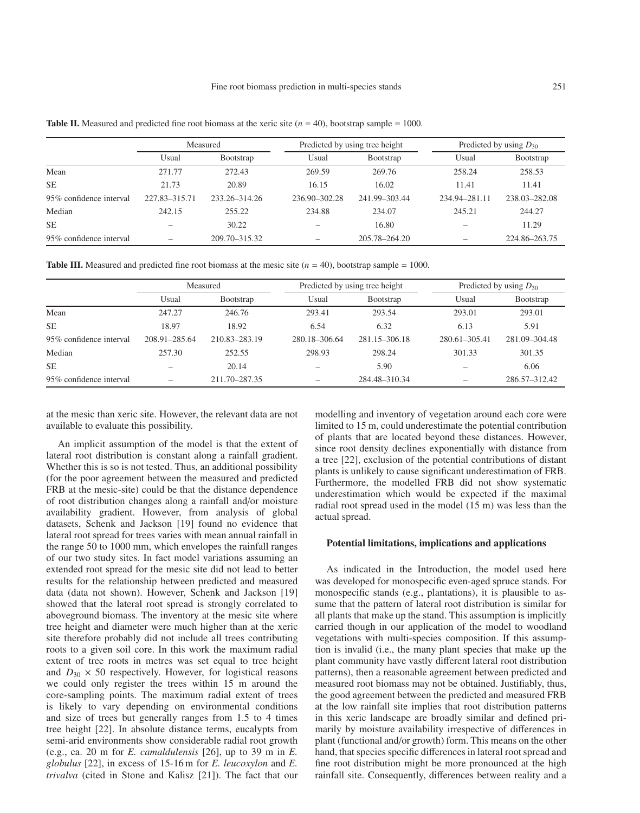|                         | Measured      |                   | Predicted by using tree height |                  | Predicted by using $D_{30}$ |                  |
|-------------------------|---------------|-------------------|--------------------------------|------------------|-----------------------------|------------------|
|                         | Usual         | <b>B</b> ootstrap | Usual                          | <b>Bootstrap</b> | Usual                       | <b>Bootstrap</b> |
| Mean                    | 271.77        | 272.43            | 269.59                         | 269.76           | 258.24                      | 258.53           |
| <b>SE</b>               | 21.73         | 20.89             | 16.15                          | 16.02            | 11.41                       | 11.41            |
| 95% confidence interval | 227.83-315.71 | 233.26-314.26     | 236.90-302.28                  | 241.99 - 303.44  | 234.94-281.11               | 238.03-282.08    |
| Median                  | 242.15        | 255.22            | 234.88                         | 234.07           | 245.21                      | 244.27           |
| <b>SE</b>               |               | 30.22             |                                | 16.80            | -                           | 11.29            |
| 95% confidence interval |               | 209.70-315.32     |                                | 205.78-264.20    |                             | 224.86-263.75    |

**Table II.** Measured and predicted fine root biomass at the xeric site  $(n = 40)$ , bootstrap sample = 1000.

**Table III.** Measured and predicted fine root biomass at the mesic site  $(n = 40)$ , bootstrap sample = 1000.

|                         | Measured      |                   | Predicted by using tree height |                  | Predicted by using $D_{30}$ |                  |
|-------------------------|---------------|-------------------|--------------------------------|------------------|-----------------------------|------------------|
|                         | Usual         | <b>B</b> ootstrap | Usual                          | <b>Bootstrap</b> | Usual                       | <b>Bootstrap</b> |
| Mean                    | 247.27        | 246.76            | 293.41                         | 293.54           | 293.01                      | 293.01           |
| <b>SE</b>               | 18.97         | 18.92             | 6.54                           | 6.32             | 6.13                        | 5.91             |
| 95% confidence interval | 208.91-285.64 | 210.83-283.19     | 280.18-306.64                  | 281.15-306.18    | 280.61-305.41               | 281.09-304.48    |
| Median                  | 257.30        | 252.55            | 298.93                         | 298.24           | 301.33                      | 301.35           |
| <b>SE</b>               |               | 20.14             |                                | 5.90             | $\overline{\phantom{0}}$    | 6.06             |
| 95% confidence interval |               | 211.70-287.35     |                                | 284.48-310.34    | -                           | 286.57-312.42    |

at the mesic than xeric site. However, the relevant data are not available to evaluate this possibility.

An implicit assumption of the model is that the extent of lateral root distribution is constant along a rainfall gradient. Whether this is so is not tested. Thus, an additional possibility (for the poor agreement between the measured and predicted FRB at the mesic-site) could be that the distance dependence of root distribution changes along a rainfall and/or moisture availability gradient. However, from analysis of global datasets, Schenk and Jackson [19] found no evidence that lateral root spread for trees varies with mean annual rainfall in the range 50 to 1000 mm, which envelopes the rainfall ranges of our two study sites. In fact model variations assuming an extended root spread for the mesic site did not lead to better results for the relationship between predicted and measured data (data not shown). However, Schenk and Jackson [19] showed that the lateral root spread is strongly correlated to aboveground biomass. The inventory at the mesic site where tree height and diameter were much higher than at the xeric site therefore probably did not include all trees contributing roots to a given soil core. In this work the maximum radial extent of tree roots in metres was set equal to tree height and  $D_{30} \times 50$  respectively. However, for logistical reasons we could only register the trees within 15 m around the core-sampling points. The maximum radial extent of trees is likely to vary depending on environmental conditions and size of trees but generally ranges from 1.5 to 4 times tree height [22]. In absolute distance terms, eucalypts from semi-arid environments show considerable radial root growth (e.g., ca. 20 m for *E. camaldulensis* [26], up to 39 m in *E. globulus* [22], in excess of 15-16 m for *E. leucoxylon* and *E. trivalva* (cited in Stone and Kalisz [21]). The fact that our modelling and inventory of vegetation around each core were limited to 15 m, could underestimate the potential contribution of plants that are located beyond these distances. However, since root density declines exponentially with distance from a tree [22], exclusion of the potential contributions of distant plants is unlikely to cause significant underestimation of FRB. Furthermore, the modelled FRB did not show systematic underestimation which would be expected if the maximal radial root spread used in the model (15 m) was less than the actual spread.

#### **Potential limitations, implications and applications**

As indicated in the Introduction, the model used here was developed for monospecific even-aged spruce stands. For monospecific stands (e.g., plantations), it is plausible to assume that the pattern of lateral root distribution is similar for all plants that make up the stand. This assumption is implicitly carried though in our application of the model to woodland vegetations with multi-species composition. If this assumption is invalid (i.e., the many plant species that make up the plant community have vastly different lateral root distribution patterns), then a reasonable agreement between predicted and measured root biomass may not be obtained. Justifiably, thus, the good agreement between the predicted and measured FRB at the low rainfall site implies that root distribution patterns in this xeric landscape are broadly similar and defined primarily by moisture availability irrespective of differences in plant (functional and/or growth) form. This means on the other hand, that species specific differences in lateral root spread and fine root distribution might be more pronounced at the high rainfall site. Consequently, differences between reality and a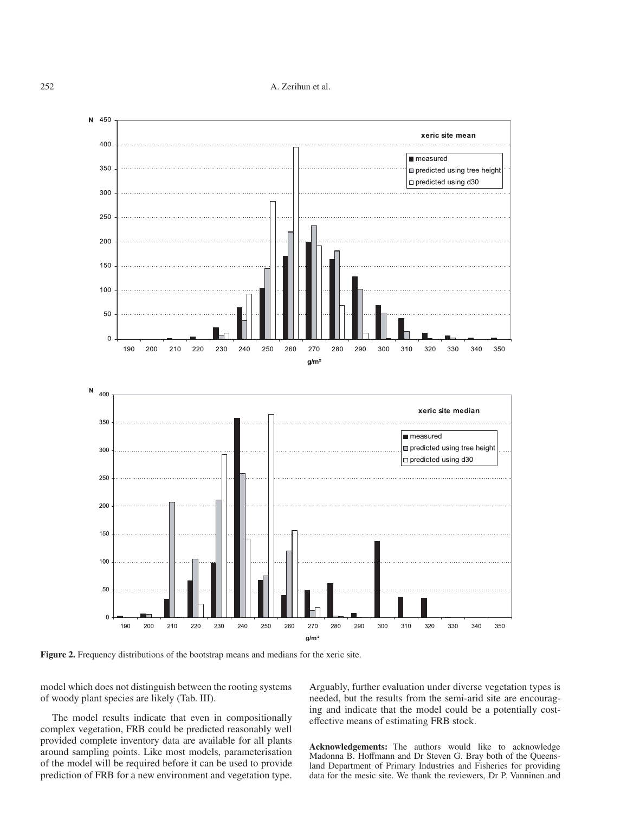252 A. Zerihun et al.





model which does not distinguish between the rooting systems of woody plant species are likely (Tab. III).

The model results indicate that even in compositionally complex vegetation, FRB could be predicted reasonably well provided complete inventory data are available for all plants around sampling points. Like most models, parameterisation of the model will be required before it can be used to provide prediction of FRB for a new environment and vegetation type. Arguably, further evaluation under diverse vegetation types is needed, but the results from the semi-arid site are encouraging and indicate that the model could be a potentially costeffective means of estimating FRB stock.

**Acknowledgements:** The authors would like to acknowledge Madonna B. Hoffmann and Dr Steven G. Bray both of the Queensland Department of Primary Industries and Fisheries for providing data for the mesic site. We thank the reviewers, Dr P. Vanninen and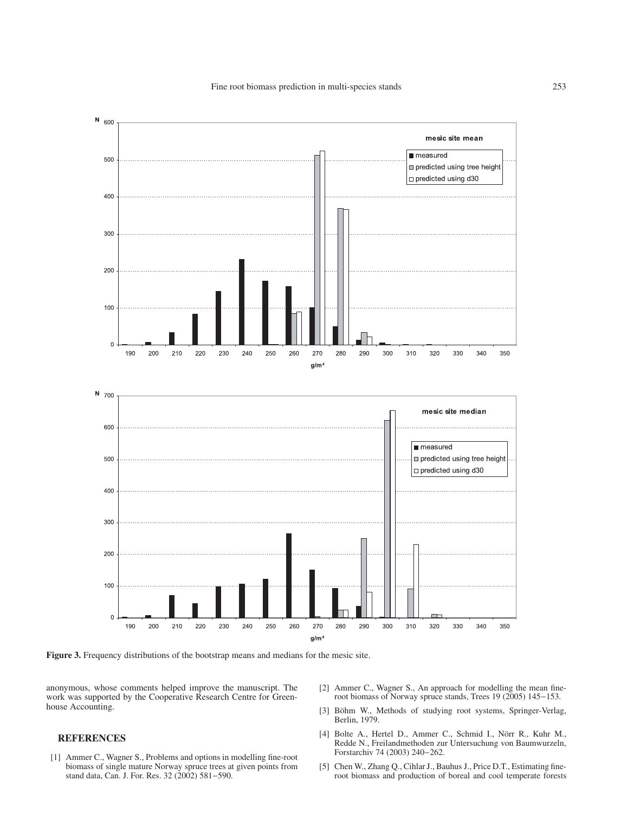

**Figure 3.** Frequency distributions of the bootstrap means and medians for the mesic site.

anonymous, whose comments helped improve the manuscript. The work was supported by the Cooperative Research Centre for Greenhouse Accounting.

# **REFERENCES**

- [1] Ammer C., Wagner S., Problems and options in modelling fine-root biomass of single mature Norway spruce trees at given points from stand data, Can. J. For. Res. 32 (2002) 581−590.
- [2] Ammer C., Wagner S., An approach for modelling the mean fineroot biomass of Norway spruce stands, Trees 19 (2005) 145−153.
- [3] Böhm W., Methods of studying root systems, Springer-Verlag, Berlin, 1979.
- [4] Bolte A., Hertel D., Ammer C., Schmid I., Nörr R., Kuhr M., Redde N., Freilandmethoden zur Untersuchung von Baumwurzeln, Forstarchiv 74 (2003) 240−262.
- [5] Chen W., Zhang Q., Cihlar J., Bauhus J., Price D.T., Estimating fineroot biomass and production of boreal and cool temperate forests